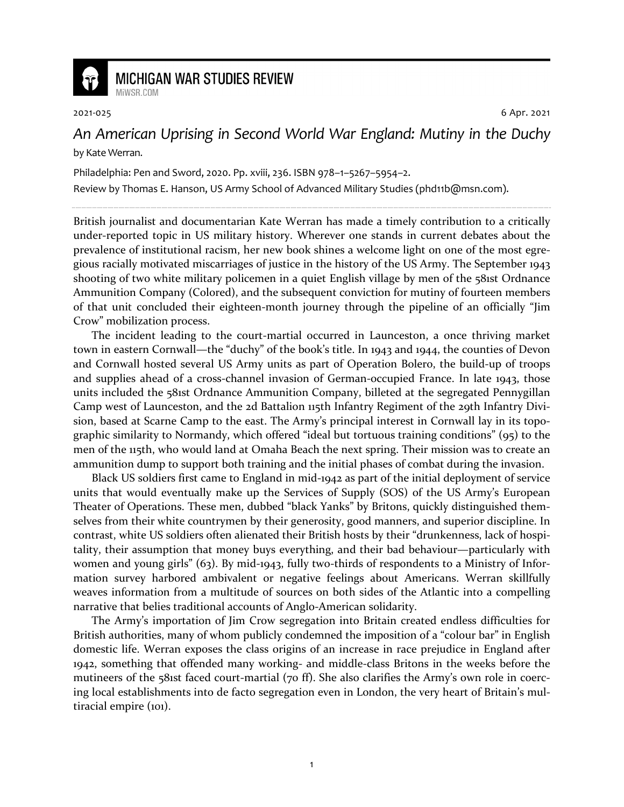

## **MICHIGAN WAR STUDIES REVIEW** MiWSR COM

2021-025 6 Apr. 2021

## *An American Uprising in Second World War England: Mutiny in the Duchy* by Kate Werran.

Philadelphia: Pen and Sword, 2020. Pp. xviii, 236. ISBN 978–1–5267–5954–2.

Review by Thomas E. Hanson, US Army School of Advanced Military Studies (phd11b@msn.com).

British journalist and documentarian Kate Werran has made a timely contribution to a critically under-reported topic in US military history. Wherever one stands in current debates about the prevalence of institutional racism, her new book shines a welcome light on one of the most egregious racially motivated miscarriages of justice in the history of the US Army. The September 1943 shooting of two white military policemen in a quiet English village by men of the 581st Ordnance Ammunition Company (Colored), and the subsequent conviction for mutiny of fourteen members of that unit concluded their eighteen-month journey through the pipeline of an officially "Jim Crow" mobilization process.

The incident leading to the court-martial occurred in Launceston, a once thriving market town in eastern Cornwall—the "duchy" of the book's title. In 1943 and 1944, the counties of Devon and Cornwall hosted several US Army units as part of Operation Bolero, the build-up of troops and supplies ahead of a cross-channel invasion of German-occupied France. In late 1943, those units included the 581st Ordnance Ammunition Company, billeted at the segregated Pennygillan Camp west of Launceston, and the 2d Battalion 115th Infantry Regiment of the 29th Infantry Division, based at Scarne Camp to the east. The Army's principal interest in Cornwall lay in its topographic similarity to Normandy, which offered "ideal but tortuous training conditions" (95) to the men of the 115th, who would land at Omaha Beach the next spring. Their mission was to create an ammunition dump to support both training and the initial phases of combat during the invasion.

Black US soldiers first came to England in mid-1942 as part of the initial deployment of service units that would eventually make up the Services of Supply (SOS) of the US Army's European Theater of Operations. These men, dubbed "black Yanks" by Britons, quickly distinguished themselves from their white countrymen by their generosity, good manners, and superior discipline. In contrast, white US soldiers often alienated their British hosts by their "drunkenness, lack of hospitality, their assumption that money buys everything, and their bad behaviour—particularly with women and young girls" (63). By mid-1943, fully two-thirds of respondents to a Ministry of Information survey harbored ambivalent or negative feelings about Americans. Werran skillfully weaves information from a multitude of sources on both sides of the Atlantic into a compelling narrative that belies traditional accounts of Anglo-American solidarity.

The Army's importation of Jim Crow segregation into Britain created endless difficulties for British authorities, many of whom publicly condemned the imposition of a "colour bar" in English domestic life. Werran exposes the class origins of an increase in race prejudice in England after 1942, something that offended many working- and middle-class Britons in the weeks before the mutineers of the 581st faced court-martial (70 ff). She also clarifies the Army's own role in coercing local establishments into de facto segregation even in London, the very heart of Britain's multiracial empire (101).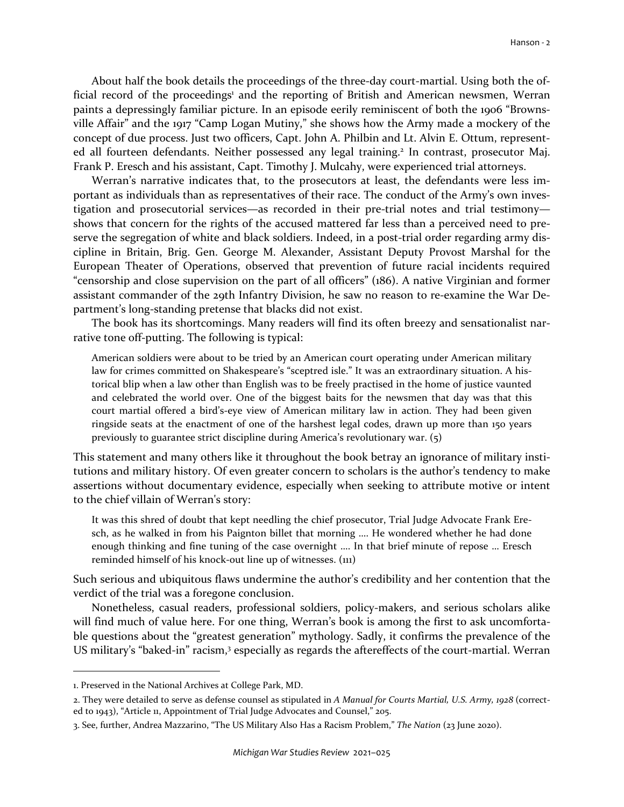About half the book details the proceedings of the three-day court-martial. Using both the official record of the proceedings<sup>1</sup> and the reporting of British and American newsmen, Werran paints a depressingly familiar picture. In an episode eerily reminiscent of both the 1906 "Brownsville Affair" and the 1917 "Camp Logan Mutiny," she shows how the Army made a mockery of the concept of due process. Just two officers, Capt. John A. Philbin and Lt. Alvin E. Ottum, represented all fourteen defendants. Neither possessed any legal training.<sup>2</sup> In contrast, prosecutor Maj. Frank P. Eresch and his assistant, Capt. Timothy J. Mulcahy, were experienced trial attorneys.

Werran's narrative indicates that, to the prosecutors at least, the defendants were less important as individuals than as representatives of their race. The conduct of the Army's own investigation and prosecutorial services—as recorded in their pre-trial notes and trial testimony shows that concern for the rights of the accused mattered far less than a perceived need to preserve the segregation of white and black soldiers. Indeed, in a post-trial order regarding army discipline in Britain, Brig. Gen. George M. Alexander, Assistant Deputy Provost Marshal for the European Theater of Operations, observed that prevention of future racial incidents required "censorship and close supervision on the part of all officers" (186). A native Virginian and former assistant commander of the 29th Infantry Division, he saw no reason to re-examine the War Department's long-standing pretense that blacks did not exist.

The book has its shortcomings. Many readers will find its often breezy and sensationalist narrative tone off-putting. The following is typical:

American soldiers were about to be tried by an American court operating under American military law for crimes committed on Shakespeare's "sceptred isle." It was an extraordinary situation. A historical blip when a law other than English was to be freely practised in the home of justice vaunted and celebrated the world over. One of the biggest baits for the newsmen that day was that this court martial offered a bird's-eye view of American military law in action. They had been given ringside seats at the enactment of one of the harshest legal codes, drawn up more than 150 years previously to guarantee strict discipline during America's revolutionary war. (5)

This statement and many others like it throughout the book betray an ignorance of military institutions and military history. Of even greater concern to scholars is the author's tendency to make assertions without documentary evidence, especially when seeking to attribute motive or intent to the chief villain of Werran's story:

It was this shred of doubt that kept needling the chief prosecutor, Trial Judge Advocate Frank Eresch, as he walked in from his Paignton billet that morning …. He wondered whether he had done enough thinking and fine tuning of the case overnight …. In that brief minute of repose … Eresch reminded himself of his knock-out line up of witnesses. (111)

Such serious and ubiquitous flaws undermine the author's credibility and her contention that the verdict of the trial was a foregone conclusion.

Nonetheless, casual readers, professional soldiers, policy-makers, and serious scholars alike will find much of value here. For one thing, Werran's book is among the first to ask uncomfortable questions about the "greatest generation" mythology. Sadly, it confirms the prevalence of the US military's "baked-in" racism,<sup>3</sup> especially as regards the aftereffects of the court-martial. Werran

<sup>1.</sup> Preserved in the National Archives at College Park, MD.

<sup>2.</sup> They were detailed to serve as defense counsel as stipulated in *A Manual for Courts Martial, U.S. Army, 1928* (corrected to 1943), "Article 11, Appointment of Trial Judge Advocates and Counsel," 205.

<sup>3.</sup> See, further, Andrea Mazzarino, "The US Military Also Has a Racism Problem," *The Nation* (23 June 2020).